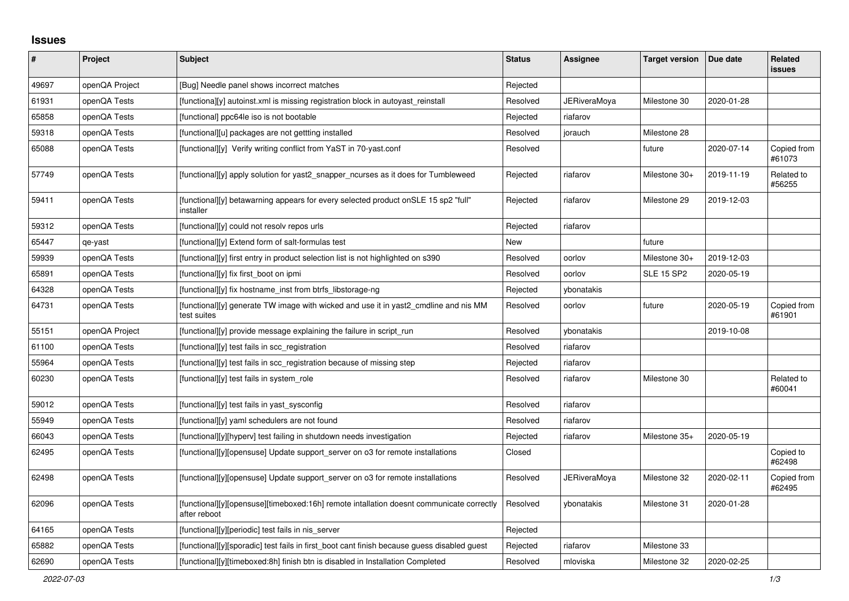## **Issues**

| ∦     | Project        | Subject                                                                                                  | <b>Status</b> | Assignee     | <b>Target version</b> | Due date   | <b>Related</b><br><b>issues</b> |
|-------|----------------|----------------------------------------------------------------------------------------------------------|---------------|--------------|-----------------------|------------|---------------------------------|
| 49697 | openQA Project | [Bug] Needle panel shows incorrect matches                                                               | Rejected      |              |                       |            |                                 |
| 61931 | openQA Tests   | [functiona][y] autoinst.xml is missing registration block in autoyast_reinstall                          | Resolved      | JERiveraMoya | Milestone 30          | 2020-01-28 |                                 |
| 65858 | openQA Tests   | [functional] ppc64le iso is not bootable                                                                 | Rejected      | riafarov     |                       |            |                                 |
| 59318 | openQA Tests   | [functional][u] packages are not gettting installed                                                      | Resolved      | jorauch      | Milestone 28          |            |                                 |
| 65088 | openQA Tests   | [functional][y] Verify writing conflict from YaST in 70-yast.conf                                        | Resolved      |              | future                | 2020-07-14 | Copied from<br>#61073           |
| 57749 | openQA Tests   | [functional][y] apply solution for yast2_snapper_ncurses as it does for Tumbleweed                       | Rejected      | riafarov     | Milestone 30+         | 2019-11-19 | Related to<br>#56255            |
| 59411 | openQA Tests   | [functional][y] betawarning appears for every selected product onSLE 15 sp2 "full"<br>installer          | Rejected      | riafarov     | Milestone 29          | 2019-12-03 |                                 |
| 59312 | openQA Tests   | [functional][y] could not resoly repos urls                                                              | Rejected      | riafarov     |                       |            |                                 |
| 65447 | qe-yast        | [functional][y] Extend form of salt-formulas test                                                        | <b>New</b>    |              | future                |            |                                 |
| 59939 | openQA Tests   | [functional][y] first entry in product selection list is not highlighted on s390                         | Resolved      | oorlov       | Milestone 30+         | 2019-12-03 |                                 |
| 65891 | openQA Tests   | [functional][y] fix first_boot on ipmi                                                                   | Resolved      | oorlov       | <b>SLE 15 SP2</b>     | 2020-05-19 |                                 |
| 64328 | openQA Tests   | [functional][y] fix hostname inst from btrfs libstorage-ng                                               | Rejected      | ybonatakis   |                       |            |                                 |
| 64731 | openQA Tests   | [functional][y] generate TW image with wicked and use it in yast2_cmdline and nis MM<br>test suites      | Resolved      | oorlov       | future                | 2020-05-19 | Copied from<br>#61901           |
| 55151 | openQA Project | [functional][y] provide message explaining the failure in script_run                                     | Resolved      | ybonatakis   |                       | 2019-10-08 |                                 |
| 61100 | openQA Tests   | [functional][y] test fails in scc_registration                                                           | Resolved      | riafarov     |                       |            |                                 |
| 55964 | openQA Tests   | [functional][y] test fails in scc_registration because of missing step                                   | Rejected      | riafarov     |                       |            |                                 |
| 60230 | openQA Tests   | [functional][y] test fails in system_role                                                                | Resolved      | riafarov     | Milestone 30          |            | Related to<br>#60041            |
| 59012 | openQA Tests   | [functional][y] test fails in yast_sysconfig                                                             | Resolved      | riafarov     |                       |            |                                 |
| 55949 | openQA Tests   | [functional][y] yaml schedulers are not found                                                            | Resolved      | riafarov     |                       |            |                                 |
| 66043 | openQA Tests   | [functional][y][hyperv] test failing in shutdown needs investigation                                     | Rejected      | riafarov     | Milestone 35+         | 2020-05-19 |                                 |
| 62495 | openQA Tests   | [functional][y][opensuse] Update support_server on o3 for remote installations                           | Closed        |              |                       |            | Copied to<br>#62498             |
| 62498 | openQA Tests   | [functional][y][opensuse] Update support_server on o3 for remote installations                           | Resolved      | JERiveraMoya | Milestone 32          | 2020-02-11 | Copied from<br>#62495           |
| 62096 | openQA Tests   | [functional][y][opensuse][timeboxed:16h] remote intallation doesnt communicate correctly<br>after reboot | Resolved      | ybonatakis   | Milestone 31          | 2020-01-28 |                                 |
| 64165 | openQA Tests   | [functional][y][periodic] test fails in nis_server                                                       | Rejected      |              |                       |            |                                 |
| 65882 | openQA Tests   | [functional][y][sporadic] test fails in first boot cant finish because guess disabled guest              | Rejected      | riafarov     | Milestone 33          |            |                                 |
| 62690 | openQA Tests   | [functional][y][timeboxed:8h] finish btn is disabled in Installation Completed                           | Resolved      | mloviska     | Milestone 32          | 2020-02-25 |                                 |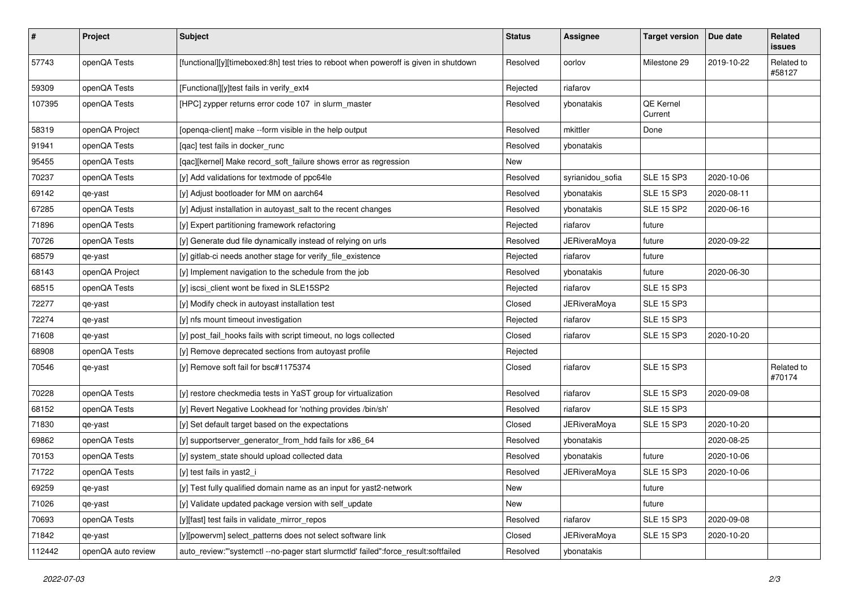| $\pmb{\#}$ | Project            | Subject                                                                               | <b>Status</b> | Assignee            | <b>Target version</b> | Due date   | Related<br>issues    |
|------------|--------------------|---------------------------------------------------------------------------------------|---------------|---------------------|-----------------------|------------|----------------------|
| 57743      | openQA Tests       | [functional][y][timeboxed:8h] test tries to reboot when poweroff is given in shutdown | Resolved      | oorlov              | Milestone 29          | 2019-10-22 | Related to<br>#58127 |
| 59309      | openQA Tests       | [Functional][y]test fails in verify_ext4                                              | Rejected      | riafarov            |                       |            |                      |
| 107395     | openQA Tests       | [HPC] zypper returns error code 107 in slurm_master                                   | Resolved      | ybonatakis          | QE Kernel<br>Current  |            |                      |
| 58319      | openQA Project     | [openqa-client] make --form visible in the help output                                | Resolved      | mkittler            | Done                  |            |                      |
| 91941      | openQA Tests       | [qac] test fails in docker_runc                                                       | Resolved      | ybonatakis          |                       |            |                      |
| 95455      | openQA Tests       | [qac][kernel] Make record_soft_failure shows error as regression                      | New           |                     |                       |            |                      |
| 70237      | openQA Tests       | [y] Add validations for textmode of ppc64le                                           | Resolved      | syrianidou_sofia    | <b>SLE 15 SP3</b>     | 2020-10-06 |                      |
| 69142      | qe-yast            | [y] Adjust bootloader for MM on aarch64                                               | Resolved      | ybonatakis          | <b>SLE 15 SP3</b>     | 2020-08-11 |                      |
| 67285      | openQA Tests       | [y] Adjust installation in autoyast_salt to the recent changes                        | Resolved      | ybonatakis          | <b>SLE 15 SP2</b>     | 2020-06-16 |                      |
| 71896      | openQA Tests       | [y] Expert partitioning framework refactoring                                         | Rejected      | riafarov            | future                |            |                      |
| 70726      | openQA Tests       | [y] Generate dud file dynamically instead of relying on urls                          | Resolved      | <b>JERiveraMoya</b> | future                | 2020-09-22 |                      |
| 68579      | qe-yast            | [y] gitlab-ci needs another stage for verify_file_existence                           | Rejected      | riafarov            | future                |            |                      |
| 68143      | openQA Project     | [y] Implement navigation to the schedule from the job                                 | Resolved      | ybonatakis          | future                | 2020-06-30 |                      |
| 68515      | openQA Tests       | [y] iscsi_client wont be fixed in SLE15SP2                                            | Rejected      | riafarov            | <b>SLE 15 SP3</b>     |            |                      |
| 72277      | qe-yast            | [y] Modify check in autoyast installation test                                        | Closed        | <b>JERiveraMoya</b> | <b>SLE 15 SP3</b>     |            |                      |
| 72274      | qe-yast            | [y] nfs mount timeout investigation                                                   | Rejected      | riafarov            | <b>SLE 15 SP3</b>     |            |                      |
| 71608      | qe-yast            | [y] post_fail_hooks fails with script timeout, no logs collected                      | Closed        | riafarov            | <b>SLE 15 SP3</b>     | 2020-10-20 |                      |
| 68908      | openQA Tests       | [y] Remove deprecated sections from autoyast profile                                  | Rejected      |                     |                       |            |                      |
| 70546      | qe-yast            | [y] Remove soft fail for bsc#1175374                                                  | Closed        | riafarov            | <b>SLE 15 SP3</b>     |            | Related to<br>#70174 |
| 70228      | openQA Tests       | [y] restore checkmedia tests in YaST group for virtualization                         | Resolved      | riafarov            | <b>SLE 15 SP3</b>     | 2020-09-08 |                      |
| 68152      | openQA Tests       | [y] Revert Negative Lookhead for 'nothing provides /bin/sh'                           | Resolved      | riafarov            | <b>SLE 15 SP3</b>     |            |                      |
| 71830      | qe-yast            | [y] Set default target based on the expectations                                      | Closed        | JERiveraMoya        | <b>SLE 15 SP3</b>     | 2020-10-20 |                      |
| 69862      | openQA Tests       | [y] supportserver_generator_from_hdd fails for x86_64                                 | Resolved      | ybonatakis          |                       | 2020-08-25 |                      |
| 70153      | openQA Tests       | [y] system_state should upload collected data                                         | Resolved      | ybonatakis          | future                | 2020-10-06 |                      |
| 71722      | openQA Tests       | [y] test fails in yast2_i                                                             | Resolved      | JERiveraMoya        | <b>SLE 15 SP3</b>     | 2020-10-06 |                      |
| 69259      | qe-yast            | [y] Test fully qualified domain name as an input for yast2-network                    | New           |                     | future                |            |                      |
| 71026      | qe-yast            | [y] Validate updated package version with self update                                 | New           |                     | future                |            |                      |
| 70693      | openQA Tests       | [y][fast] test fails in validate_mirror_repos                                         | Resolved      | riafarov            | <b>SLE 15 SP3</b>     | 2020-09-08 |                      |
| 71842      | qe-yast            | [y][powervm] select patterns does not select software link                            | Closed        | JERiveraMoya        | SLE 15 SP3            | 2020-10-20 |                      |
| 112442     | openQA auto review | auto_review:"'systemctl --no-pager start slurmctld' failed":force_result:softfailed   | Resolved      | ybonatakis          |                       |            |                      |